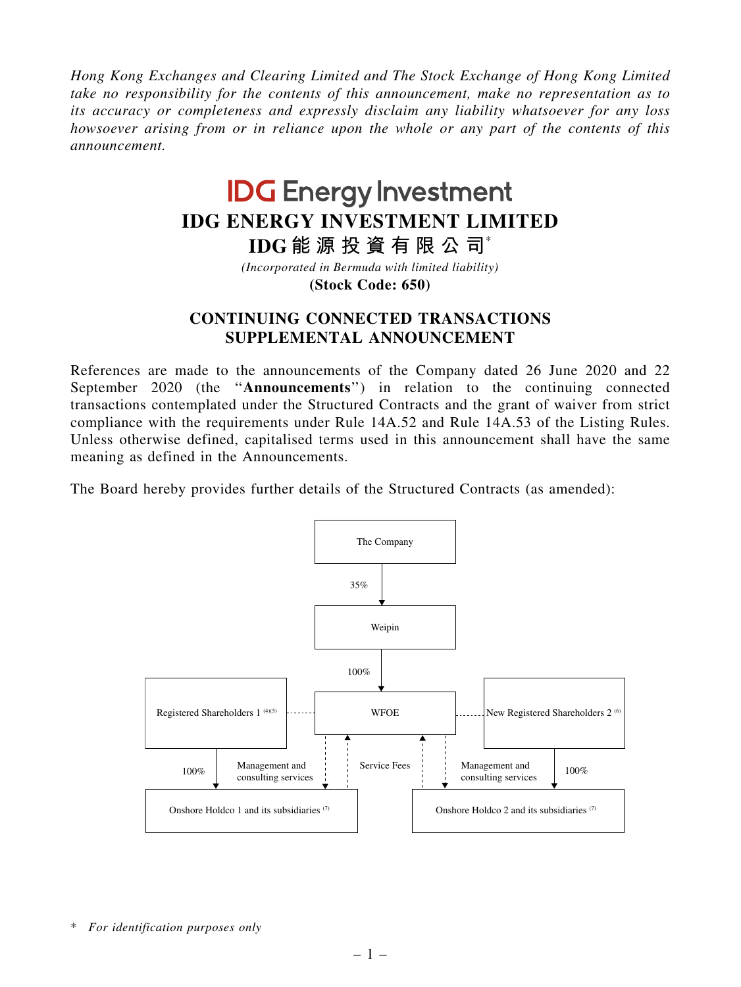*Hong Kong Exchanges and Clearing Limited and The Stock Exchange of Hong Kong Limited take no responsibility for the contents of this announcement, make no representation as to its accuracy or completeness and expressly disclaim any liability whatsoever for any loss howsoever arising from or in reliance upon the whole or any part of the contents of this announcement.*

## **IDG Energy Investment IDG ENERGY INVESTMENT LIMITED**

**IDG 能 源 投 資 有 限 公 司**\*

*(Incorporated in Bermuda with limited liability)*

**(Stock Code: 650)**

## CONTINUING CONNECTED TRANSACTIONS SUPPLEMENTAL ANNOUNCEMENT

References are made to the announcements of the Company dated 26 June 2020 and 22 September 2020 (the ''Announcements'') in relation to the continuing connected transactions contemplated under the Structured Contracts and the grant of waiver from strict compliance with the requirements under Rule 14A.52 and Rule 14A.53 of the Listing Rules. Unless otherwise defined, capitalised terms used in this announcement shall have the same meaning as defined in the Announcements.

The Board hereby provides further details of the Structured Contracts (as amended):



<sup>\*</sup> *For identification purposes only*